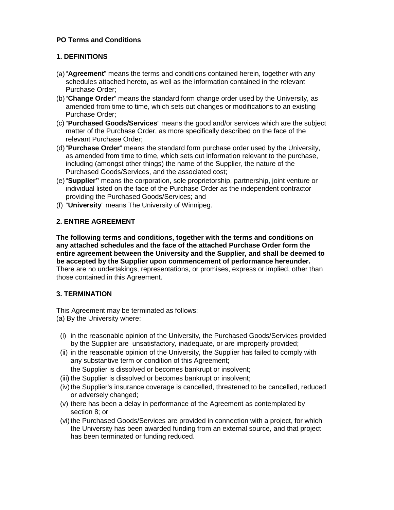# **PO Terms and Conditions**

# **1. DEFINITIONS**

- (a)"**Agreement**" means the terms and conditions contained herein, together with any schedules attached hereto, as well as the information contained in the relevant Purchase Order;
- (b)"**Change Order**" means the standard form change order used by the University, as amended from time to time, which sets out changes or modifications to an existing Purchase Order;
- (c) "**Purchased Goods/Services**" means the good and/or services which are the subject matter of the Purchase Order, as more specifically described on the face of the relevant Purchase Order;
- (d) "**Purchase Order**" means the standard form purchase order used by the University, as amended from time to time, which sets out information relevant to the purchase, including (amongst other things) the name of the Supplier, the nature of the Purchased Goods/Services, and the associated cost;
- (e)"**Supplier"** means the corporation, sole proprietorship, partnership, joint venture or individual listed on the face of the Purchase Order as the independent contractor providing the Purchased Goods/Services; and
- (f) "**University**" means The University of Winnipeg.

# **2. ENTIRE AGREEMENT**

**The following terms and conditions, together with the terms and conditions on any attached schedules and the face of the attached Purchase Order form the entire agreement between the University and the Supplier, and shall be deemed to be accepted by the Supplier upon commencement of performance hereunder.** There are no undertakings, representations, or promises, express or implied, other than those contained in this Agreement.

# **3. TERMINATION**

This Agreement may be terminated as follows: (a) By the University where:

- (i) in the reasonable opinion of the University, the Purchased Goods/Services provided by the Supplier are unsatisfactory, inadequate, or are improperly provided;
- (ii) in the reasonable opinion of the University, the Supplier has failed to comply with any substantive term or condition of this Agreement;
	- the Supplier is dissolved or becomes bankrupt or insolvent;
- (iii) the Supplier is dissolved or becomes bankrupt or insolvent;
- (iv) the Supplier's insurance coverage is cancelled, threatened to be cancelled, reduced or adversely changed;
- (v) there has been a delay in performance of the Agreement as contemplated by section 8; or
- (vi) the Purchased Goods/Services are provided in connection with a project, for which the University has been awarded funding from an external source, and that project has been terminated or funding reduced.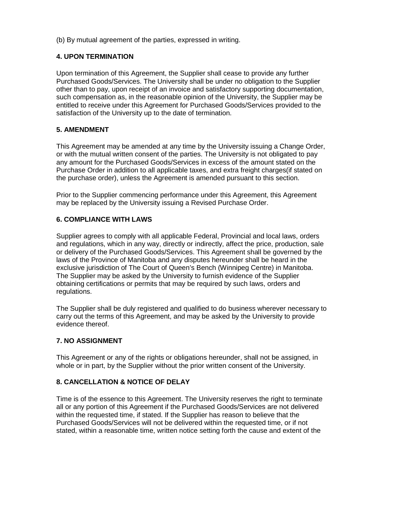(b) By mutual agreement of the parties, expressed in writing.

# **4. UPON TERMINATION**

Upon termination of this Agreement, the Supplier shall cease to provide any further Purchased Goods/Services. The University shall be under no obligation to the Supplier other than to pay, upon receipt of an invoice and satisfactory supporting documentation, such compensation as, in the reasonable opinion of the University, the Supplier may be entitled to receive under this Agreement for Purchased Goods/Services provided to the satisfaction of the University up to the date of termination.

### **5. AMENDMENT**

This Agreement may be amended at any time by the University issuing a Change Order, or with the mutual written consent of the parties. The University is not obligated to pay any amount for the Purchased Goods/Services in excess of the amount stated on the Purchase Order in addition to all applicable taxes, and extra freight charges(if stated on the purchase order), unless the Agreement is amended pursuant to this section.

Prior to the Supplier commencing performance under this Agreement, this Agreement may be replaced by the University issuing a Revised Purchase Order.

### **6. COMPLIANCE WITH LAWS**

Supplier agrees to comply with all applicable Federal, Provincial and local laws, orders and regulations, which in any way, directly or indirectly, affect the price, production, sale or delivery of the Purchased Goods/Services. This Agreement shall be governed by the laws of the Province of Manitoba and any disputes hereunder shall be heard in the exclusive jurisdiction of The Court of Queen's Bench (Winnipeg Centre) in Manitoba. The Supplier may be asked by the University to furnish evidence of the Supplier obtaining certifications or permits that may be required by such laws, orders and regulations.

The Supplier shall be duly registered and qualified to do business wherever necessary to carry out the terms of this Agreement, and may be asked by the University to provide evidence thereof.

# **7. NO ASSIGNMENT**

This Agreement or any of the rights or obligations hereunder, shall not be assigned, in whole or in part, by the Supplier without the prior written consent of the University.

# **8. CANCELLATION & NOTICE OF DELAY**

Time is of the essence to this Agreement. The University reserves the right to terminate all or any portion of this Agreement if the Purchased Goods/Services are not delivered within the requested time, if stated. If the Supplier has reason to believe that the Purchased Goods/Services will not be delivered within the requested time, or if not stated, within a reasonable time, written notice setting forth the cause and extent of the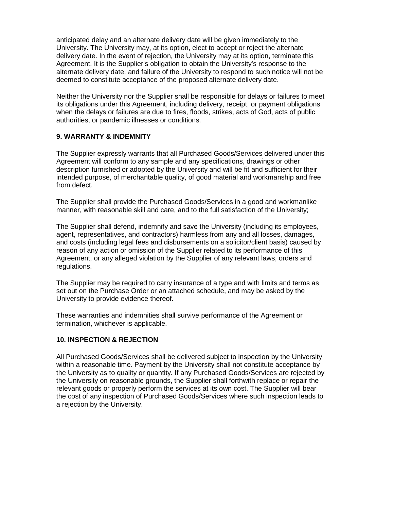anticipated delay and an alternate delivery date will be given immediately to the University. The University may, at its option, elect to accept or reject the alternate delivery date. In the event of rejection, the University may at its option, terminate this Agreement. It is the Supplier's obligation to obtain the University's response to the alternate delivery date, and failure of the University to respond to such notice will not be deemed to constitute acceptance of the proposed alternate delivery date.

Neither the University nor the Supplier shall be responsible for delays or failures to meet its obligations under this Agreement, including delivery, receipt, or payment obligations when the delays or failures are due to fires, floods, strikes, acts of God, acts of public authorities, or pandemic illnesses or conditions.

#### **9. WARRANTY & INDEMNITY**

The Supplier expressly warrants that all Purchased Goods/Services delivered under this Agreement will conform to any sample and any specifications, drawings or other description furnished or adopted by the University and will be fit and sufficient for their intended purpose, of merchantable quality, of good material and workmanship and free from defect.

The Supplier shall provide the Purchased Goods/Services in a good and workmanlike manner, with reasonable skill and care, and to the full satisfaction of the University;

The Supplier shall defend, indemnify and save the University (including its employees, agent, representatives, and contractors) harmless from any and all losses, damages, and costs (including legal fees and disbursements on a solicitor/client basis) caused by reason of any action or omission of the Supplier related to its performance of this Agreement, or any alleged violation by the Supplier of any relevant laws, orders and regulations.

The Supplier may be required to carry insurance of a type and with limits and terms as set out on the Purchase Order or an attached schedule, and may be asked by the University to provide evidence thereof.

These warranties and indemnities shall survive performance of the Agreement or termination, whichever is applicable.

# **10. INSPECTION & REJECTION**

All Purchased Goods/Services shall be delivered subject to inspection by the University within a reasonable time. Payment by the University shall not constitute acceptance by the University as to quality or quantity. If any Purchased Goods/Services are rejected by the University on reasonable grounds, the Supplier shall forthwith replace or repair the relevant goods or properly perform the services at its own cost. The Supplier will bear the cost of any inspection of Purchased Goods/Services where such inspection leads to a rejection by the University.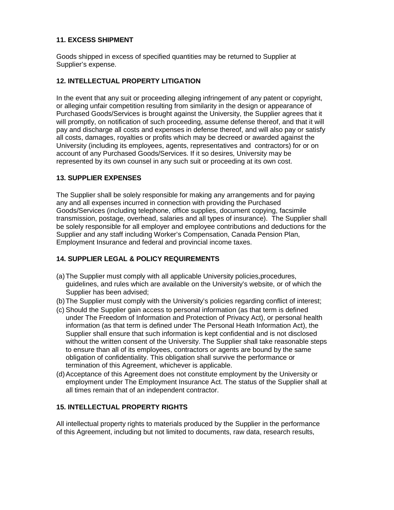# **11. EXCESS SHIPMENT**

Goods shipped in excess of specified quantities may be returned to Supplier at Supplier's expense.

### **12. INTELLECTUAL PROPERTY LITIGATION**

In the event that any suit or proceeding alleging infringement of any patent or copyright, or alleging unfair competition resulting from similarity in the design or appearance of Purchased Goods/Services is brought against the University, the Supplier agrees that it will promptly, on notification of such proceeding, assume defense thereof, and that it will pay and discharge all costs and expenses in defense thereof, and will also pay or satisfy all costs, damages, royalties or profits which may be decreed or awarded against the University (including its employees, agents, representatives and contractors) for or on account of any Purchased Goods/Services. If it so desires, University may be represented by its own counsel in any such suit or proceeding at its own cost.

### **13. SUPPLIER EXPENSES**

The Supplier shall be solely responsible for making any arrangements and for paying any and all expenses incurred in connection with providing the Purchased Goods/Services (including telephone, office supplies, document copying, facsimile transmission, postage, overhead, salaries and all types of insurance). The Supplier shall be solely responsible for all employer and employee contributions and deductions for the Supplier and any staff including Worker's Compensation, Canada Pension Plan, Employment Insurance and federal and provincial income taxes.

### **14. SUPPLIER LEGAL & POLICY REQUIREMENTS**

- (a)The Supplier must comply with all applicable University policies,procedures, guidelines, and rules which are available on the University's website, or of which the Supplier has been advised;
- (b)The Supplier must comply with the University's policies regarding conflict of interest;
- (c) Should the Supplier gain access to personal information (as that term is defined under The Freedom of Information and Protection of Privacy Act), or personal health information (as that term is defined under The Personal Heath Information Act), the Supplier shall ensure that such information is kept confidential and is not disclosed without the written consent of the University. The Supplier shall take reasonable steps to ensure than all of its employees, contractors or agents are bound by the same obligation of confidentiality. This obligation shall survive the performance or termination of this Agreement, whichever is applicable.
- (d)Acceptance of this Agreement does not constitute employment by the University or employment under The Employment Insurance Act. The status of the Supplier shall at all times remain that of an independent contractor.

# **15. INTELLECTUAL PROPERTY RIGHTS**

All intellectual property rights to materials produced by the Supplier in the performance of this Agreement, including but not limited to documents, raw data, research results,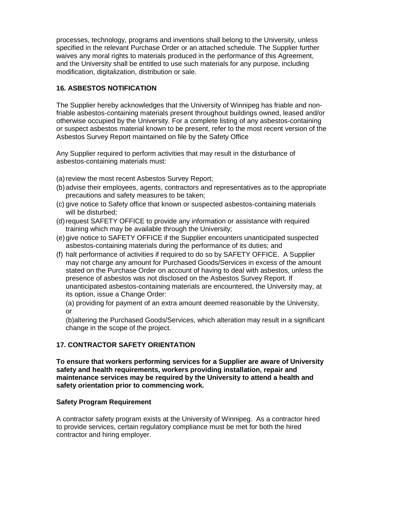processes, technology, programs and inventions shall belong to the University, unless specified in the relevant Purchase Order or an attached schedule. The Supplier further waives any moral rights to materials produced in the performance of this Agreement, and the University shall be entitled to use such materials for any purpose, including modification, digitalization, distribution or sale.

# **16. ASBESTOS NOTIFICATION**

The Supplier hereby acknowledges that the University of Winnipeg has friable and nonfriable asbestos-containing materials present throughout buildings owned, leased and/or otherwise occupied by the University. For a complete listing of any asbestos-containing or suspect asbestos material known to be present, refer to the most recent version of the Asbestos Survey Report maintained on file by the Safety Office

Any Supplier required to perform activities that may result in the disturbance of asbestos-containing materials must:

- (a) review the most recent Asbestos Survey Report;
- (b)advise their employees, agents, contractors and representatives as to the appropriate precautions and safety measures to be taken;
- (c) give notice to Safety office that known or suspected asbestos-containing materials will be disturbed;
- (d)request SAFETY OFFICE to provide any information or assistance with required training which may be available through the University;
- (e)give notice to SAFETY OFFICE if the Supplier encounters unanticipated suspected asbestos-containing materials during the performance of its duties; and
- (f) halt performance of activities if required to do so by SAFETY OFFICE. A Supplier may not charge any amount for Purchased Goods/Services in excess of the amount stated on the Purchase Order on account of having to deal with asbestos, unless the presence of asbestos was not disclosed on the Asbestos Survey Report. If unanticipated asbestos-containing materials are encountered, the University may, at its option, issue a Change Order:

(a) providing for payment of an extra amount deemed reasonable by the University, or

(b)altering the Purchased Goods/Services, which alteration may result in a significant change in the scope of the project.

# **17. CONTRACTOR SAFETY ORIENTATION**

**To ensure that workers performing services for a Supplier are aware of University safety and health requirements, workers providing installation, repair and maintenance services may be required by the University to attend a health and safety orientation prior to commencing work.** 

# **Safety Program Requirement**

A contractor safety program exists at the University of Winnipeg. As a contractor hired to provide services, certain regulatory compliance must be met for both the hired contractor and hiring employer.